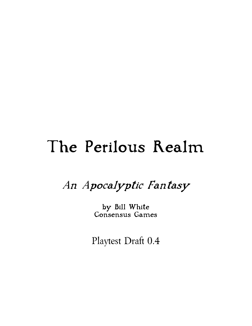# The Perilous Realm

An Apocalyptic Fantasy

by Bill White Consensus Games

Playtest Draft 0.4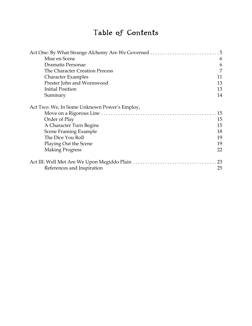# Table of Contents

| Mise en Scene                                | 6  |
|----------------------------------------------|----|
| Dramatis Personae                            | 6  |
| The Character Creation Process               | 7  |
| <b>Character Examples</b>                    | 11 |
| Prester John and Wormwood                    | 13 |
| <b>Initial Position</b>                      | 13 |
| Summary                                      | 14 |
| Act Two: We, In Some Unknown Power's Employ, |    |
|                                              | 15 |
| Order of Play                                | 15 |
| A Character Turn Begins                      | 15 |
| Scene Framing Example                        | 18 |
| The Dice You Roll                            | 19 |
| Playing Out the Scene                        | 19 |
| <b>Making Progress</b>                       | 22 |
|                                              | 23 |
| References and Inspiration                   | 25 |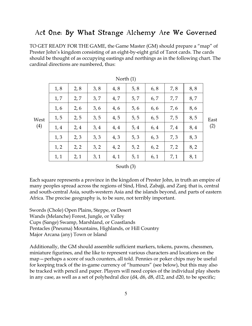## Act One: By What Strange Alchemy Are We Governed

TO GET READY FOR THE GAME, the Game Master (GM) should prepare a "map" of Prester John's kingdom consisting of an eight-by-eight grid of Tarot cards. The cards should be thought of as occupying eastings and northings as in the following chart. The cardinal directions are numbered, thus:

|      |      |      |      | $1$ NOI $(1)$ |      |      |      |      |      |
|------|------|------|------|---------------|------|------|------|------|------|
|      | 1, 8 | 2, 8 | 3, 8 | 4, 8          | 5, 8 | 6, 8 | 7,8  | 8,8  |      |
|      | 1, 7 | 2, 7 | 3, 7 | 4,7           | 5, 7 | 6, 7 | 7,7  | 8,7  |      |
|      | 1, 6 | 2, 6 | 3, 6 | 4,6           | 5, 6 | 6,6  | 7,6  | 8,6  |      |
| West | 1, 5 | 2, 5 | 3, 5 | 4, 5          | 5, 5 | 6, 5 | 7,5  | 8, 5 | East |
| (4)  | 1,4  | 2,4  | 3,4  | 4, 4          | 5, 4 | 6, 4 | 7, 4 | 8, 4 | (2)  |
|      | 1, 3 | 2, 3 | 3, 3 | 4, 3          | 5, 3 | 6, 3 | 7, 3 | 8, 3 |      |
|      | 1, 2 | 2, 2 | 3, 2 | 4, 2          | 5, 2 | 6, 2 | 7, 2 | 8, 2 |      |
|      | 1, 1 | 2,1  | 3,1  | 4, 1          | 5, 1 | 6, 1 | 7, 1 | 8,1  |      |
|      |      |      |      |               |      |      |      |      |      |

| North (1) |  |
|-----------|--|
|-----------|--|

#### South (3)

Each square represents a province in the kingdom of Prester John, in truth an empire of many peoples spread across the regions of Sind, Hind, Zabajji, and Zanj; that is, central and south-central Asia, south-western Asia and the islands beyond, and parts of eastern Africa. The precise geography is, to be sure, not terribly important.

Swords (Chole) Open Plains, Steppe, or Desert Wands (Melanche) Forest, Jungle, or Valley Cups (Sange) Swamp, Marshland, or Coastlands Pentacles (Pneuma) Mountains, Highlands, or Hill Country Major Arcana (any) Town or Island

Additionally, the GM should assemble sufficient markers, tokens, pawns, chessmen, miniature figurines, and the like to represent various characters and locations on the map—perhaps a score of such counters, all told. Pennies or poker chips may be useful for keeping track of the in-game currency of "humours" (see below), but this may also be tracked with pencil and paper. Players will need copies of the individual play sheets in any case, as well as a set of polyhedral dice (d4, d6, d8, d12, and d20, to be specific;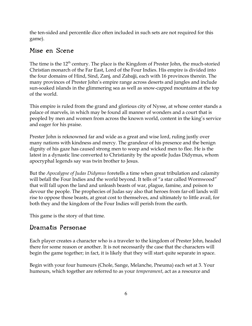the ten-sided and percentile dice often included in such sets are not required for this game).

## Mise en Scene

The time is the 12<sup>th</sup> century. The place is the Kingdom of Prester John, the much-storied Christian monarch of the Far East, Lord of the Four Indies. His empire is divided into the four domains of Hind, Sind, Zanj, and Zabajji, each with 16 provinces therein. The many provinces of Prester John's empire range across deserts and jungles and include sun-soaked islands in the glimmering sea as well as snow-capped mountains at the top of the world.

This empire is ruled from the grand and glorious city of Nysse, at whose center stands a palace of marvels, in which may be found all manner of wonders and a court that is peopled by men and women from across the known world, content in the king's service and eager for his praise.

Prester John is reknowned far and wide as a great and wise lord, ruling justly over many nations with kindness and mercy. The grandeur of his presence and the benign dignity of his gaze has caused strong men to weep and wicked men to flee. He is the latest in a dynastic line converted to Christianity by the apostle Judas Didymus, whom apocryphal legends say was twin brother to Jesus.

But the *Apocalypse of Judas Didymus* foretells a time when great tribulation and calamity will befall the Four Indies and the world beyond. It tells of "a star called Wormwood" that will fall upon the land and unleash beasts of war, plague, famine, and poison to devour the people. The prophecies of Judas say also that heroes from far-off lands will rise to oppose those beasts, at great cost to themselves, and ultimately to little avail, for both they and the kingdom of the Four Indies will perish from the earth.

This game is the story of that time.

## Dramatis Personae

Each player creates a character who is a traveler to the kingdom of Prester John, headed there for some reason or another. It is not necessarily the case that the characters will begin the game together; in fact, it is likely that they will start quite separate in space.

Begin with your four humours (Chole, Sange, Melanche, Pneuma) each set at 3. Your humours, which together are referred to as your temperament, act as a resource and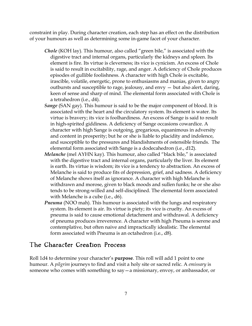constraint in play. During character creation, each step has an effect on the distribution of your humours as well as determining some in-game facet of your character.

- Chole (KOH lay). This humour, also called "green bile," is associated with the digestive tract and internal organs, particularly the kidneys and spleen. Its element is fire. Its virtue is cleverness; its vice is cynicism. An excess of Chole is said to result in excitability, rage, and anger. A deficiency of Chole produces episodes of gullible foolishness. A character with high Chole is excitable, irascible, volatile, energetic, prone to enthusiasms and manias, given to angry outbursts and susceptible to rage, jealousy, and envy — but also alert, daring, keen of sense and sharp of mind. The elemental form associated with Chole is a tetrahedron (i.e., d4).
- Sange (SAN gay). This humour is said to be the major component of blood. It is associated with the heart and the circulatory system. Its element is water. Its virtue is bravery; its vice is foolhardiness. An excess of Sange is said to result in high-spirited giddiness. A deficiency of Sange occasions cowardice. A character with high Sange is outgoing, gregarious, equanimous in adversity and content in prosperity; but he or she is liable to placidity and indolence, and susceptible to the pressures and blandishments of ostensible friends. The elemental form associated with Sange is a dodecahedron (i.e., d12).
- Melanche (mel AYHN kay). This humour, also called "black bile," is associated with the digestive tract and internal organs, particularly the liver. Its element is earth. Its virtue is wisdom; its vice is a tendency to abstraction. An excess of Melanche is said to produce fits of depression, grief, and sadness. A deficiency of Melanche shows itself as ignorance. A character with high Melanche is withdrawn and morose, given to black moods and sullen funks; he or she also tends to be strong-willed and self-disciplined. The elemental form associated with Melanche is a cube (i.e., d6).
- **Pneuma** (NOO mah). This humour is associated with the lungs and respiratory system. Its element is air. Its virtue is piety; its vice is cruelty. An excess of pneuma is said to cause emotional detachment and withdrawal. A deficiency of pneuma produces irreverence. A character with high Pneuma is serene and contemplative, but often naive and impractically idealistic. The elemental form associated with Pneuma is an octahedron (i.e., d8).

#### The Character Creation Process

Roll 1d4 to determine your character's **purpose**. This roll will add 1 point to one humour. A *pilgrim* journeys to find and visit a holy site or sacred relic. A *emissary* is someone who comes with something to say—a missionary, envoy, or ambassador, or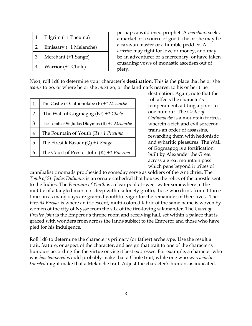| $\mathbf{1}$    | Pilgrim (+1 Pneuma)    |
|-----------------|------------------------|
| $\overline{2}$  | Emissary (+1 Melanche) |
| 3               | Merchant (+1 Sange)    |
| $4\overline{ }$ | Warrior (+1 Chole)     |

perhaps a wild-eyed prophet. A merchant seeks a market or a source of goods; he or she may be a caravan master or a humble peddler. A warrior may fight for love or money, and may be an adventurer or a mercenary, or have taken crusading vows of monastic ascetism out of piety.

Next, roll 1d6 to determine your character's **destination**. This is the place that he or she wants to go, or where he or she must go, or the landmark nearest to his or her true

| $\mathbf{1}$   | The Castle of Gathonolabe $(P)$ +1 Melanche      |
|----------------|--------------------------------------------------|
| $\overline{2}$ | The Wall of Gogmagog (Kt) +1 Chole               |
| 3              | The Tomb of St. Judas Didymus $(B) + 1$ Melanche |
| 4              | The Fountain of Youth $(R)$ +1 Pneuma            |
| 5              | The Firesilk Bazaar $(Q)$ +1 Sange               |
| 6              | The Court of Prester John $(K)$ +1 Pneuma        |

destination. Again, note that the roll affects the character's temperament, adding a point to one humour. The Castle of Gathonolabe is a mountain fortress wherein a rich and evil sorceror trains an order of assassins, rewarding them with hedonistic and sybaritic pleasures. The Wall of Gogmagog is a fortification built by Alexander the Great across a great mountain pass which pens beyond it tribes of

cannibalistic nomads prophesied to someday serve as soldiers of the Antichrist. The Tomb of St. Judas Didymus is an ornate cathedral that houses the relics of the apostle sent to the Indies. The Fountain of Youth is a clear pool of sweet water somewhere in the middle of a tangled marsh or deep within a lonely grotto; those who drink from it three times in as many days are granted youthful vigor for the remainder of their lives. The Firesilk Bazaar is where an iridescent, multi-colored fabric of the same name is woven by women of the city of Nysse from the silk of the fire-loving salamander. The Court of Prester John is the Emperor's throne room and receiving hall, set within a palace that is graced with wonders from across the lands subject to the Emperor and those who have pled for his indulgence.

Roll 1d8 to determine the character's primary (or father) archetype. Use the result a trait, feature, or aspect of the character, and assign that trait to one of the character's humours according the the virtue or vice it best expresses. For example, a character who was hot-tempered would probably make that a Chole trait, while one who was widely traveled might make that a Melanche trait. Adjust the character's humors as indicated.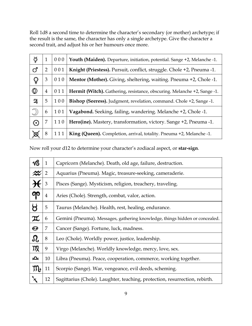Roll 1d8 a second time to determine the character's secondary (or mother) archetype; if the result is the same, the character has only a single archetype. Give the character a second trait, and adjust his or her humours once more.

| ŏ          | $\mathbf{1}$   | 000 | Youth (Maiden). Departure, initiation, potential. Sange +2, Melanche -1. |  |  |
|------------|----------------|-----|--------------------------------------------------------------------------|--|--|
| ď          | 2              | 001 | Knight (Priestess). Pursuit, conflict, struggle. Chole +2, Pneuma -1.    |  |  |
| Q          | 3              | 010 | Mentor (Mother). Giving, sheltering, waiting. Pneuma +2, Chole -1.       |  |  |
|            | $\overline{4}$ | 011 | Hermit (Witch). Gathering, resistance, obscuring. Melanche +2, Sange -1. |  |  |
| 와          | 5              | 100 | Bishop (Seeress). Judgment, revelation, command. Chole +2, Sange -1.     |  |  |
| C)         | 6              | 101 | Vagabond. Seeking, failing, wandering. Melanche +2, Chole -1.            |  |  |
| $_{\odot}$ | 7              | 110 | Hero(ine). Mastery, transformation, victory. Sange +2, Pneuma -1.        |  |  |
| 図          | 8              | 111 | King (Queen). Completion, arrival, totality. Pneuma +2, Melanche -1.     |  |  |

Now roll your d12 to determine your character's zodiacal aspect, or star-sign.

|                                 | $\mathbf{1}$   | Capricorn (Melanche). Death, old age, failure, destruction.                 |  |  |  |
|---------------------------------|----------------|-----------------------------------------------------------------------------|--|--|--|
| $\boldsymbol{\mathop{\approx}}$ | $\overline{2}$ | Aquarius (Pneuma). Magic, treasure-seeking, cameraderie.                    |  |  |  |
|                                 | 3              | Pisces (Sange). Mysticism, religion, treachery, traveling.                  |  |  |  |
| ရာ                              | 4              | Aries (Chole). Strength, combat, valor, action.                             |  |  |  |
| $\mathcal{R}$                   | 5              | Taurus (Melanche). Health, rest, healing, endurance.                        |  |  |  |
| $\pi$                           | 6              | Gemini (Pneuma). Messages, gathering knowledge, things hidden or concealed. |  |  |  |
| $\mathbf{O}$                    | 7              | Cancer (Sange). Fortune, luck, madness.                                     |  |  |  |
| ${\boldsymbol{\Omega}}$         | 8              | Leo (Chole). Worldly power, justice, leadership.                            |  |  |  |
| mg                              | 9              | Virgo (Melanche). Worldly knowledge, mercy, love, sex.                      |  |  |  |
| 心                               | 10             | Libra (Pneuma). Peace, cooperation, commerce, working together.             |  |  |  |
| $\mathbf{m}_{t}$                | 11             | Scorpio (Sange). War, vengeance, evil deeds, scheming.                      |  |  |  |
|                                 | 12             | Sagittarius (Chole). Laughter, teaching, protection, resurrection, rebirth. |  |  |  |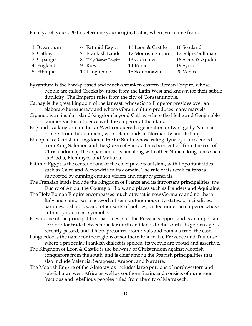Finally, roll your d20 to determine your **origin**; that is, where you come from.

Byzantium is the hard-pressed and much-shrunken eastern Roman Empire, whose people are called Greeks by those from the Latin West and known for their subtle duplicity. The Emperor rules from the city of Constantinople.

Cathay is the great kingdom of the far east, whose Song Emperor presides over an elaborate bureaucracy and whose vibrant culture produces many marvels.

- Cipango is an insular island-kingdom beyond Cathay where the Heike and Genji noble families vie for influence with the emperor of their land.
- England is a kingdom in the far West conquered a generation or two ago by Norman princes from the continent, who retain lands in Normandy and Brittany.
- Ethiopia is a Christian kingdom in the far South whose ruling dynasty is descended from King Solomon and the Queen of Sheba; it has been cut off from the rest of Christendom by the expansion of Islam along with other Nubian kingdoms such as Alodia, Blemmyes, and Makuria.
- Fatimid Egypt is the center of one of the chief powers of Islam, with important cities such as Cairo and Alexandria in its domain. The rule of its weak caliphs is supported by cunning eunuch viziers and mighty generals.
- The Frankish lands include the Kingdom of France and its important principalities: the Duchy of Anjou, the County of Blois, and places such as Flanders and Aquitaine.
- The Holy Roman Empire encompasses much of what is now Germany and northern Italy and comprises a network of semi-autonomous city-states, principalities, baronies, bishoprics, and other sorts of polities, united under an emperor whose authority is at most symbolic.
- Kiev is one of the principalities that rules over the Russian steppes, and is an important corridor for trade between the far north and lands to the south. Its golden age is recently passed, and it faces pressures from rivals and nomads from the east.
- Languedoc is the name for the regions of southern France like Provence and Toulouse where a particular Frankish dialect is spoken; its people are proud and assertive.
- The Kingdom of Leon & Castile is the bulwark of Christendom against Moorish conquerors from the south, and is chief among the Spanish principalities that also include Valencia, Saragossa, Aragon, and Navarre.
- The Moorish Empire of the Almoravids includes large portions of northwestern and sub-Saharan west Africa as well as southern Spain, and consists of numerous fractious and rebellious peoples ruled from the city of Marrakech.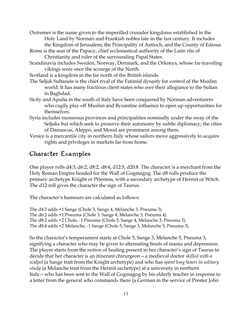Outremer is the name given to the imperilled crusader kingdoms established in the Holy Land by Norman and Frankish nobles late in the last century. It includes the Kingdom of Jerusalem, the Principality of Antioch, and the County of Edessa.

- Rome is the seat of the Papacy, chief ecclesiastical authority of the Latin rite of Christianity and ruler of the surrounding Papal States.
- Scandinavia includes Sweden, Norway, Denmark, and the Orkneys, whose far-traveling vikings were once the scourge of the North.

Scotland is a kingdom in the far north of the British islands.

- The Seljuk Sultanate is the chief rival of the Fatimid dynasty for control of the Muslim world. It has many fractious client states who owe their allegiance to the Sultan in Baghdad.
- Sicily and Apulia in the south of Italy have been conquered by Norman adventurers who cagily play off Muslim and Byzantine influence to open up opportunities for themselves.
- Syria includes numerous provinces and principalities nominally under the sway of the Seljuks but which seek to preserve their autonomy by subtle diplomacy; the cities of Damascus, Aleppo, and Mosul are prominent among them.
- Venice is a mercantile city in northern Italy whose sailors move aggressively to acquire rights and privileges in markets far from home.

#### Character Examples

One player rolls d4:3, d6:2, d8:2, d8:4, d12:5, d20:8. The character is a merchant from the Holy Roman Empire headed for the Wall of Gogmagog. The d8 rolls produce the primary archetype Knight or Priestess, with a secondary archetype of Hermit or Witch. The d12 roll gives the character the sign of Taurus.

The character's humours are calculated as follows:

The d4:3 adds +1 Sange (Chole 3, Sange 4, Melanche 3, Pneuma 3). The d6:2 adds +1 Pneuma (Chole 3, Sange 4, Melanche 3, Pneuma 4). The d8:2 adds +2 Chole, -1 Pneuma (Chole 5, Sange 4, Melanche 3, Pneuma 3). The d8:4 adds +2 Melanche, -1 Sange (Chole 5, Sange 3, Melanche 5, Pneuma 3).

So the character's temperament starts at Chole 5, Sange 3, Melanche 5, Pneuma 3, signifying a character who may be given to alternating bouts of mania and depression. The player starts from the notion of healing present in her character's sign of Taurus to decide that her character is an itinerant chirurgeon—a medieval doctor skilled with a scalpel (a Sange trait from the Knight archetype) and who has spent long hours in solitary study (a Melanche trait from the Hermit archetype) at a university in northern Italy—who has been sent to the Wall of Gogmagog by his elderly teacher in response to a letter from the general who commands there (a German in the service of Prester John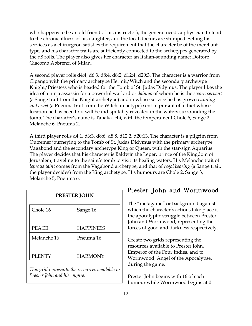who happens to be an old friend of his instructor); the general needs a physician to tend to the chronic illness of his daughter, and the local doctors are stumped. Selling his services as a chirurgeon satisfies the requirement that the character be of the merchant type, and his character traits are sufficiently connected to the archetypes generated by the d8 rolls. The player also gives her character an Italian-sounding name: Dottore Giacomo Abbrenzi of Milan.

A second player rolls d4:4, d6:3, d8:4, d8:2, d12:4, d20:3. The character is a warrior from Cipango with the primary archetype Hermit/Witch and the secondary archetype Knight/Priestess who is headed for the Tomb of St. Judas Didymus. The player likes the idea of a ninja assassin for a powerful warlord or *daimyo* of whom he is the *sworn servant* (a Sange trait from the Knight archetype) and in whose service he has grown cunning and cruel (a Pneuma trait from the Witch archetype) sent in pursuit of a thief whose location he has been told will be indisputably revealed in the waters surrounding the tomb. The character's name is Tanaka Ichi, with the temperament Chole 6, Sange 2, Melanche 6, Pneuma 2.

A third player rolls d4:1, d6:3, d8:6, d8:8, d12:2, d20:13. The character is a pilgrim from Outremer journeying to the Tomb of St. Judas Didymus with the primary archetype Vagabond and the secondary archetype King or Queen, with the star-sign Aquarius. The player decides that his character is Baldwin the Leper, prince of the Kingdom of Jerusalem, traveling to the saint's tomb to visit its healing waters. His Melanche trait of leprous taint comes from the Vagabond archetype, and that of regal bearing (a Sange trait, the player decides) from the King archetype. His humours are Chole 2, Sange 3, Melanche 5, Pneuma 6.

| <b>PRESTER JOHN</b> |                  |  |  |  |
|---------------------|------------------|--|--|--|
| Chole 16            | Sange 16         |  |  |  |
|                     |                  |  |  |  |
| <b>PEACE</b>        | <b>HAPPINESS</b> |  |  |  |
| Melanche 16         | Pneuma 16        |  |  |  |
|                     |                  |  |  |  |
| <b>PLENTY</b>       | <b>HARMONY</b>   |  |  |  |
|                     |                  |  |  |  |

This grid represents the resources available to Prester John and his empire.

#### Prester John and Wormwood

The "metagame" or background against which the character's actions take place is the apocalyptic struggle between Prester John and Wormwood, representing the forces of good and darkness respectively.

Create two grids representing the resources available to Prester John, Emperor of the Four Indies, and to Wormwood, Angel of the Apocalypse, during the game.

Prester John begins with 16 of each humour while Wormwood begins at 0.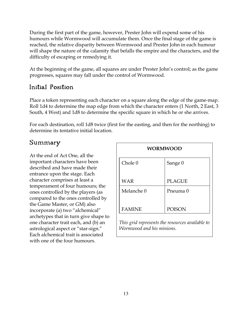During the first part of the game, however, Prester John will expend some of his humours while Wormwood will accumulate them. Once the final stage of the game is reached, the relative disparity between Wormwood and Prester John in each humour will shape the nature of the calamity that befalls the empire and the characters, and the difficulty of escaping or remedying it.

At the beginning of the game, all squares are under Prester John's control; as the game progresses, squares may fall under the control of Wormwood.

#### Initial Position

Place a token representing each character on a square along the edge of the game-map. Roll 1d4 to determine the map edge from which the character enters (1 North, 2 East, 3 South, 4 West) and 1d8 to determine the specific square in which he or she arrives.

For each destination, roll 1d8 twice (first for the easting, and then for the northing) to determine its tentative initial location.

#### Summary

At the end of Act One, all the important characters have been described and have made their entrance upon the stage. Each character comprises at least a temperament of four humours; the ones controlled by the players (as compared to the ones controlled by the Game Master, or GM) also incorporate (a) two "alchemical" archetypes that in turn give shape to one character trait each, and (b) an astrological aspect or "star-sign." Each alchemical trait is associated with one of the four humours.

| <b>WORMWOOD</b> |               |  |  |  |
|-----------------|---------------|--|--|--|
| Chole 0         | Sange 0       |  |  |  |
| <b>WAR</b>      | <b>PLAGUE</b> |  |  |  |
| Melanche 0      | Pneuma 0      |  |  |  |
| <b>FAMINE</b>   | <b>POISON</b> |  |  |  |

This grid represents the resources available to Wormwood and his minions.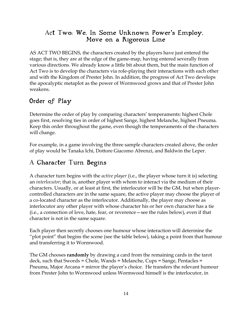#### Act Two: We, In Some Unknown Power's Employ, Move on a Rigorous Line

AS ACT TWO BEGINS, the characters created by the players have just entered the stage; that is, they are at the edge of the game-map, having entered severally from various directions. We already know a little bit about them, but the main function of Act Two is to develop the characters via role-playing their interactions with each other and with the Kingdom of Prester John. In addition, the progress of Act Two develops the apocalyptic metaplot as the power of Wormwood grows and that of Prester John weakens.

#### Order of Play

Determine the order of play by comparing characters' temperaments: highest Chole goes first, resolving ties in order of highest Sange, highest Melanche, highest Pneuma. Keep this order throughout the game, even though the temperaments of the characters will change.

For example, in a game involving the three sample characters created above, the order of play would be Tanaka Ichi, Dottore Giacomo Abrenzi, and Baldwin the Leper.

#### A Character Turn Begins

A character turn begins with the active player (i.e., the player whose turn it is) selecting an interlocutor; that is, another player with whom to interact via the medium of their characters. Usually, or at least at first, the interlocutor will be the GM, but when playercontrolled characters are in the same square, the active player may choose the player of a co-located character as the interlocutor. Additionally, the player may choose as interlocutor any other player with whose character his or her own character has a tie (i.e., a connection of love, hate, fear, or reverence—see the rules below), even if that character is not in the same square.

Each player then secretly chooses one humour whose interaction will determine the "plot point" that begins the scene (see the table below), taking a point from that humour and transferring it to Wormwood.

The GM chooses randomly by drawing a card from the remaining cards in the tarot deck, such that Swords = Chole, Wands = Melanche, Cups = Sange, Pentacles = Pneuma, Major Arcana = mirror the player's choice. He transfers the relevant humour from Prester John to Wormwood unless Wormwood himself is the interlocutor, in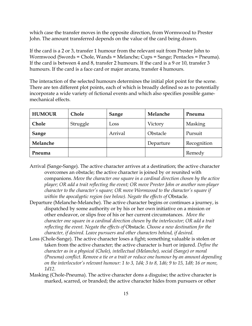which case the transfer moves in the opposite direction, from Wormwood to Prester John. The amount transferred depends on the value of the card being drawn.

If the card is a 2 or 3, transfer 1 humour from the relevant suit from Prester John to Wormwood (Swords = Chole, Wands = Melanche; Cups = Sange; Pentacles = Pneuma). If the card is between 4 and 8, transfer 2 humours. If the card is a 9 or 10, transfer 3 humours. If the card is a face card or major arcana, transfer 4 humours.

The interaction of the selected humours determines the initial plot point for the scene. There are ten different plot points, each of which is broadly defined so as to potentially incorporate a wide variety of fictional events and which also specifies possible gamemechanical effects.

| <b>HUMOUR</b> | <b>Chole</b> | Sange   | Melanche  | Pneuma         |
|---------------|--------------|---------|-----------|----------------|
| Chole         | Struggle     | Loss    | Victory   | <b>Masking</b> |
| Sange         |              | Arrival | Obstacle  | Pursuit        |
| Melanche      |              |         | Departure | Recognition    |
| Pneuma        |              |         |           | Remedy         |

- Arrival (Sange-Sange). The active character arrives at a destination; the active character overcomes an obstacle; the active character is joined by or reunited with companions. Move the character one square in a cardinal direction chosen by the active player; OR add a trait reflecting the event; OR move Prester John or another non-player character to the character's square; OR move Wormwood to the character's square if within the apocalyptic region (see below). Negate the effects of Obstacle.
- Departure (Melanche-Melanche). The active character begins or continues a journey, is dispatched by some authority or by his or her own initiative on a mission or other endeavor, or slips free of his or her current circumstances. Move the character one square in a cardinal direction chosen by the interlocutor; OR add a trait reflecting the event. Negate the effects of Obstacle. Choose a new destination for the character, if desired. Leave pursuers and other characters behind, if desired.
- Loss (Chole-Sange). The active character loses a fight; something valuable is stolen or taken from the active character; the active character is hurt or injured. Define the character as in a physical (Chole), intellectual (Melanche), social (Sange) or moral (Pneuma) conflict. Remove a tie or a trait or reduce one humour by an amount depending on the interlocutor's relevant humour: 1 to 3, 1d4; 3 to 8, 1d6; 9 to 15, 1d8; 16 or more, 1d12.
- Masking (Chole-Pneuma). The active character dons a disguise; the active character is marked, scarred, or branded; the active character hides from pursuers or other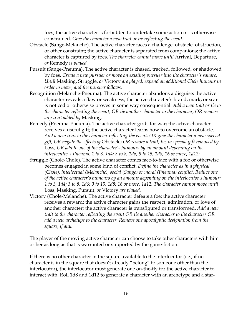foes; the active character is forbidden to undertake some action or is otherwise constrained. Give the character a new trait or tie reflecting the event.

- Obstacle (Sange-Melanche). The active character faces a challenge, obstacle, obstruction, or other constraint; the active character is separated from companions; the active character is captured by foes. The character cannot move until Arrival, Departure, or Remedy is played.
- Pursuit (Sange-Pneuma). The active character is chased, tracked, followed, or shadowed by foes. Create a new pursuer or move an existing pursuer into the character's square. Until Masking, Struggle, or Victory are played, expend an additional Chole humour in order to move, and the pursuer follows.
- Recognition (Melanche-Pneuma). The active character abandons a disguise; the active character reveals a flaw or weakness; the active character's brand, mark, or scar is noticed or otherwise proves in some way consequential. Add a new trait or tie to the character reflecting the event; OR tie another character to the character; OR remove any trait added by Masking.
- Remedy (Pneuma-Pneuma). The active character girds for war; the active character receives a useful gift; the active character learns how to overcome an obstacle. Add a new trait to the character reflecting the event; OR give the character a new special gift; OR negate the effects of Obstacle; OR restore a trait, tie, or special gift removed by Loss, OR add to one of the character's humours by an amount depending on the interlocutor's Pneuma: 1 to 3, 1d4; 3 to 8, 1d6; 9 to 15, 1d8; 16 or more, 1d12;
- Struggle (Chole-Chole). The active character comes face-to-face with a foe or otherwise becomes engaged in some kind of conflict. Define the character as in a physical (Chole), intellectual (Melanche), social (Sange) or moral (Pneuma) conflict. Reduce one of the active character's humours by an amount depending on the interlocutor's humour: 1 to 3, 1d4; 3 to 8, 1d6; 9 to 15, 1d8; 16 or more, 1d12. The character cannot move until Loss, Masking, Pursuit, or Victory are played.
- Victory (Chole-Melanche). The active character defeats a foe; the active character receives a reward; the active character gains the respect, admiration, or love of another character; the active character is transfigured or transformed. Add a new trait to the character reflecting the event OR tie another character to the character OR add a new archetype to the character. Remove one apocalyptic designation from the square, if any.

The player of the moving active character can choose to take other characters with him or her as long as that is warranted or supported by the game-fiction.

If there is no other character in the square available to the interlocutor (i.e., if no character is in the square that doesn't already "belong" to someone other than the interlocutor), the interlocutor must generate one on-the-fly for the active character to interact with. Roll 1d8 and 1d12 to generate a character with an archetype and a star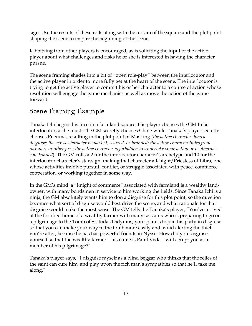sign. Use the results of these rolls along with the terrain of the square and the plot point shaping the scene to inspire the beginning of the scene.

Kibbitzing from other players is encouraged, as is soliciting the input of the active player about what challenges and risks he or she is interested in having the character pursue.

The scene framing shades into a bit of "open role-play" between the interlocutor and the active player in order to more fully get at the heart of the scene. The interlocutor is trying to get the active player to commit his or her character to a course of action whose resolution will engage the game mechanics as well as move the action of the game forward.

# Scene Framing Example

Tanaka Ichi begins his turn in a farmland square. His player chooses the GM to be interlocutor, as he must. The GM secretly chooses Chole while Tanaka's player secretly chooses Pneuma, resulting in the plot point of Masking (the active character dons a disguise; the active character is marked, scarred, or branded; the active character hides from pursuers or other foes; the active character is forbidden to undertake some action or is otherwise constrained). The GM rolls a 2 for the interlocutor character's archetype and 10 for the interlocutor character's star-sign, making that character a Knight/Priestess of Libra, one whose activities involve pursuit, conflict, or struggle associated with peace, commerce, cooperation, or working together in some way.

In the GM's mind, a "knight of commerce" associated with farmland is a wealthy landowner, with many bondsmen in service to him working the fields. Since Tanaka Ichi is a ninja, the GM absolutely wants him to don a disguise for this plot point, so the question becomes what sort of disguise would best drive the scene, and what rationale for that disguise would make the most sense. The GM tells the Tanaka's player, "You've arrived at the fortified home of a wealthy farmer with many servants who is preparing to go on a pilgrimage to the Tomb of St. Judas Didymus; your plan is to join his party in disguise so that you can make your way to the tomb more easily and avoid alerting the thief you're after, because he has has powerful friends in Nysse. How did you disguise yourself so that the wealthy farmer—his name is Panil Veda—will accept you as a member of his pilgrimage?"

Tanaka's player says, "I disguise myself as a blind beggar who thinks that the relics of the saint can cure him, and play upon the rich man's sympathies so that he'll take me along."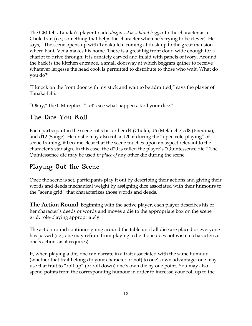The GM tells Tanaka's player to add disguised as a blind beggar to the character as a Chole trait (i.e., something that helps the character when he's trying to be clever). He says, "The scene opens up with Tanaka Ichi coming at dusk up to the great mansion where Panil Veda makes his home. There is a great big front door, wide enough for a chariot to drive through; it is ornately carved and inlaid with panels of ivory. Around the back is the kitchen entrance, a small doorway at which beggars gather to receive whatever largesse the head cook is permitted to distribute to those who wait. What do you do?"

"I knock on the front door with my stick and wait to be admitted," says the player of Tanaka Ichi.

"Okay," the GM replies. "Let's see what happens. Roll your dice."

## The Dice You Roll

Each participant in the scene rolls his or her d4 (Chole), d6 (Melanche), d8 (Pneuma), and d12 (Sange). He or she may also roll a d20 if during the "open role-playing" of scene framing, it became clear that the scene touches upon an aspect relevant to the character's star sign. In this case, the d20 is called the player's "Quintessence die." The Quintessence die may be used in place of any other die during the scene.

# Playing Out the Scene

Once the scene is set, participants play it out by describing their actions and giving their words and deeds mechanical weight by assigning dice associated with their humours to the "scene grid" that characterizes those words and deeds.

**The Action Round** Beginning with the active player, each player describes his or her character's deeds or words and moves a die to the appropriate box on the scene grid, role-playing appropriately.

The action round continues going around the table until all dice are placed or everyone has passed (i.e., one may refrain from playing a die if one does not wish to characterize one's actions as it requires).

If, when playing a die, one can narrate in a trait associated with the same humour (whether that trait belongs to your character or not) to one's own advantage, one may use that trait to "roll up" (or roll down) one's own die by one point. You may also spend points from the corresponding humour in order to increase your roll up to the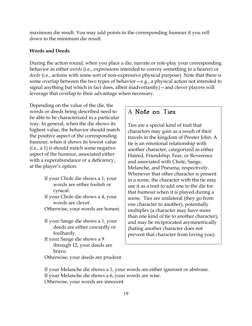maximum die result. You may add points to the corresponding humour if you roll down to the minimum die result.

#### Words and Deeds

During the action round, when you place a die, narrate or role-play your corresponding behavior as either *words* (i.e., expressions intended to convey something to a hearer) or deeds (i.e., actions with some sort of non-expressive physical purpose). Note that there is some overlap between the two types of behavior—e.g., a physical action not intended to signal anything but which in fact does, albeit inadvertantly)—and clever players will leverage that overlap to their advantage when necessary.

Depending on the value of the die, the words or deeds being described need to be able to be characterized in a particular way. In general, when the die shows its highest value, the behavior should match the positive aspect of the corresponding humour; when it shows its lowest value (i.e., a 1) it should match some negative aspect of the humour, associated either with a superabundance or a deficiency, at the player's option.

- If your Chole die shows a 1, your words are either foolish or cynical.
- If your Chole die shows a 4, your words are clever.
- Otherwise, your words are honest.
- If your Sange die shows a 1, your deeds are either cowardly or foolhardy.
- If your Sange die shows a 9 through 12, your deeds are brave.

#### A Note on Ties

Ties are a special kind of trait that characters may gain as a result of their travels in the kingdom of Prester John. A tie is an emotional relationship with another character, categorized as either Hatred, Friendship, Fear, or Reverence and associated with Chole, Sange, Melanche, and Pneuma, respectively. Whenever that other character is present in a scene, the character with the tie may use it as a trait to add one to the die for that humour when it is played during a scene. Ties are unilateral (they go from one character to another), potentially multiplex (a character may have more than one kind of tie to another character), and may be reciprocated asymmetrically (hating another character does not prevent that character from loving you).

Otherwise, your deeds are prudent.

If your Melanche die shows a 1, your words are either ignorant or abstruse. If your Melanche die shows a 6, your words are wise. Otherwise, your words are innocent.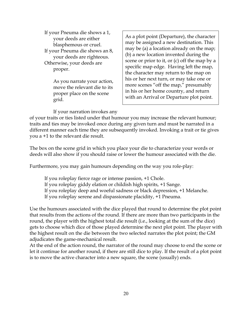If your Pneuma die shows a 1, your deeds are either blasphemous or cruel. If your Pneuma die shows an 8, your deeds are righteous. Otherwise, your deeds are proper.

> As you narrate your action, move the relevant die to its proper place on the scene grid.

As a plot point (Departure), the character may be assigned a new destination. This may be (a) a location already on the map; (b) a new location invented during the scene or prior to it, or (c) off the map by a specific map edge. Having left the map, the character may return to the map on his or her next turn, or may take one or more scenes "off the map," presumably in his or her home country, and return with an Arrival or Departure plot point.

If your narration invokes any

of your traits or ties listed under that humour you may increase the relevant humour; traits and ties may be invoked once during any given turn and must be narrated in a different manner each time they are subsequently invoked. Invoking a trait or tie gives you a +1 to the relevant die result.

The box on the scene grid in which you place your die to characterize your words or deeds will also show if you should raise or lower the humour associated with the die.

Furthermore, you may gain humours depending on the way you role-play:

If you roleplay fierce rage or intense passion, +1 Chole.

If you roleplay giddy elation or childish high spirits, +1 Sange.

If you roleplay deep and woeful sadness or black depression, +1 Melanche.

If you roleplay serene and dispassionate placidity, +1 Pneuma.

Use the humours associated with the dice played that round to determine the plot point that results from the actions of the round. If there are more than two participants in the round, the player with the highest total die result (i.e., looking at the sum of the dice) gets to choose which dice of those played determine the next plot point. The player with the highest result on the die between the two selected narrates the plot point; the GM adjudicates the game-mechanical result.

At the end of the action round, the narrator of the round may choose to end the scene or let it continue for another round, if there are still dice to play. If the result of a plot point is to move the active character into a new square, the scene (usually) ends.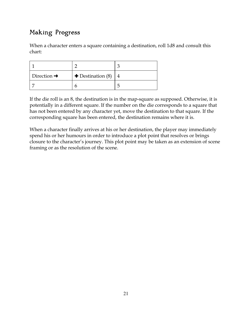# Making Progress

When a character enters a square containing a destination, roll 1d8 and consult this chart:

| Direction $\rightarrow$ | $\blacktriangleright$ Destination (8) |  |
|-------------------------|---------------------------------------|--|
|                         |                                       |  |

If the die roll is an 8, the destination is in the map-square as supposed. Otherwise, it is potentially in a different square. If the number on the die corresponds to a square that has not been entered by any character yet, move the destination to that square. If the corresponding square has been entered, the destination remains where it is.

When a character finally arrives at his or her destination, the player may immediately spend his or her humours in order to introduce a plot point that resolves or brings closure to the character's journey. This plot point may be taken as an extension of scene framing or as the resolution of the scene.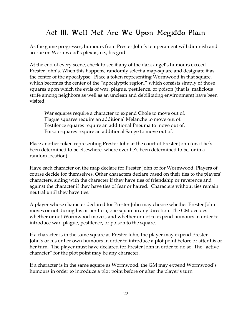## Act III: Well Met Are We Upon Megiddo Plain

As the game progresses, humours from Prester John's temperament will diminish and accrue on Wormwood's plexus; i.e., his grid.

At the end of every scene, check to see if any of the dark angel's humours exceed Prester John's. When this happens, randomly select a map-square and designate it as the center of the apocalypse. Place a token representing Wormwood in that square, which becomes the center of the "apocalyptic region," which consists simply of those squares upon which the evils of war, plague, pestilence, or poison (that is, malicious strife among neighbors as well as an unclean and debilitating environment) have been visited.

War squares require a character to expend Chole to move out of. Plague squares require an additional Melanche to move out of. Pestilence squares require an additional Pneuma to move out of. Poison squares require an additional Sange to move out of.

Place another token representing Prester John at the court of Prester John (or, if he's been determined to be elsewhere, where ever he's been determined to be, or in a random location).

Have each character on the map declare for Prester John or for Wormwood. Players of course decide for themselves. Other characters declare based on their ties to the players' characters, siding with the character if they have ties of friendship or reverence and against the character if they have ties of fear or hatred. Characters without ties remain neutral until they have ties.

A player whose character declared for Prester John may choose whether Prester John moves or not during his or her turn, one square in any direction. The GM decides whether or not Wormwood moves, and whether or not to expend humours in order to introduce war, plague, pestilence, or poison to the square.

If a character is in the same square as Prester John, the player may expend Prester John's or his or her own humours in order to introduce a plot point before or after his or her turn. The player must have declared for Prester John in order to do so. The "active character" for the plot point may be any character.

If a character is in the same square as Wormwood, the GM may expend Wormwood's humours in order to introduce a plot point before or after the player's turn.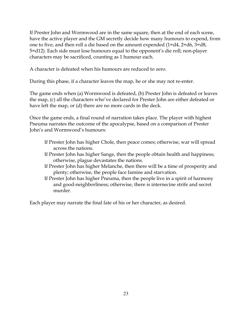If Prester John and Wormwood are in the same square, then at the end of each scene, have the active player and the GM secretly decide how many humours to expend, from one to five, and then roll a die based on the amount expended (1=d4, 2=d6, 3=d8, 5=d12). Each side must lose humours equal to the opponent's die roll; non-player characters may be sacrificed, counting as 1 humour each.

A character is defeated when his humours are reduced to zero.

During this phase, if a character leaves the map, he or she may not re-enter.

The game ends when (a) Wormwood is defeated, (b) Prester John is defeated or leaves the map, (c) all the characters who've declared for Prester John are either defeated or have left the map, or (d) there are no more cards in the deck.

Once the game ends, a final round of narration takes place. The player with highest Pneuma narrates the outcome of the apocalypse, based on a comparison of Prester John's and Wormwood's humours:

- If Prester John has higher Chole, then peace comes; otherwise, war will spread across the nations.
- If Prester John has higher Sange, then the people obtain health and happiness; otherwise, plague devastates the nations.
- If Prester John has higher Melanche, then there will be a time of prosperity and plenty; otherwise, the people face famine and starvation.
- If Prester John has higher Pneuma, then the people live in a spirit of harmony and good-neighborliness; otherwise, there is internecine strife and secret murder.

Each player may narrate the final fate of his or her character, as desired.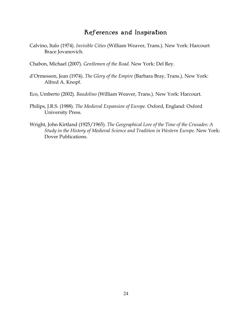#### References and Inspiration

Calvino, Italo (1974). Invisible Cities (William Weaver, Trans.). New York: Harcourt Brace Jovanovich.

Chabon, Michael (2007). Gentlemen of the Road. New York: Del Rey.

d'Ormesson, Jean (1974). The Glory of the Empire (Barbara Bray, Trans.). New York: Alfred A. Knopf.

Eco, Umberto (2002). Baudolino (William Weaver, Trans.). New York: Harcourt.

- Philips, J.R.S. (1988). The Medieval Expansion of Europe. Oxford, England: Oxford University Press.
- Wright, John Kirtland (1925/1965). The Geographical Lore of the Time of the Crusades: A Study in the History of Medieval Science and Tradition in Western Europe. New York: Dover Publications.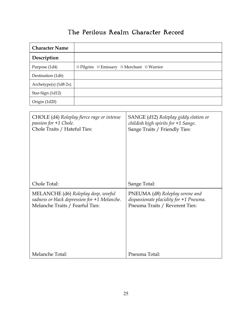# The Perilous Realm Character Record

| <b>Character Name</b>   |                                                               |
|-------------------------|---------------------------------------------------------------|
| Description             |                                                               |
| Purpose (1d4)           | $\Box$ Pilgrim $\Box$ Emissary $\Box$ Merchant $\Box$ Warrior |
| Destination (1d6)       |                                                               |
| Archetype(s) $(1d8 2x)$ |                                                               |
| Star-Sign (1d12)        |                                                               |
| Origin (1d20)           |                                                               |

| CHOLE (d4) Roleplay fierce rage or intense     | SANGE (d12) Roleplay giddy elation or    |
|------------------------------------------------|------------------------------------------|
| passion for +1 Chole.                          | childish high spirits for $+1$ Sange.    |
| Chole Traits / Hateful Ties:                   | Sange Traits / Friendly Ties:            |
| Chole Total:                                   | Sange Total:                             |
| MELANCHE (d6) Roleplay deep, woeful            | PNEUMA (d8) Roleplay serene and          |
| sadness or black depression for $+1$ Melanche. | dispassionate placidity for $+1$ Pneuma. |
| Melanche Traits / Fearful Ties:                | Pneuma Traits / Reverent Ties:           |
| Melanche Total:                                | Pneuma Total:                            |